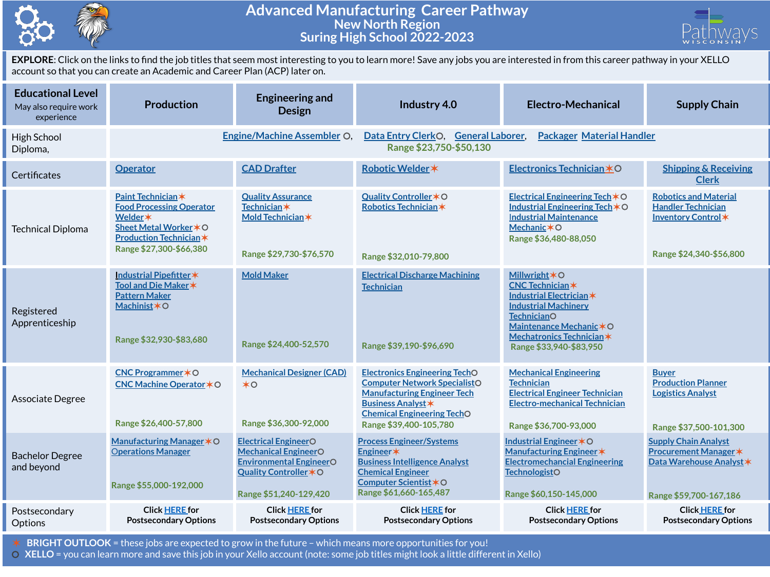

## **Advanced Manufacturing Career Pathway New North Region Suring High School 2022-2023**



**EXPLORE**: Click on the links to find the job titles that seem most interesting to you to learn more! Save any jobs you are interested in from this career pathway in your XELLO account so that you can create an Academic and Career Plan (ACP) later on.

| <b>Educational Level</b><br>May also require work<br>experience | <b>Production</b>                                                                                                                                      | <b>Engineering and</b><br><b>Design</b>                                                                                                          | Industry 4.0                                                                                                                                                                                                  | <b>Electro-Mechanical</b>                                                                                                                                                                                                         | <b>Supply Chain</b>                                                                                               |  |  |
|-----------------------------------------------------------------|--------------------------------------------------------------------------------------------------------------------------------------------------------|--------------------------------------------------------------------------------------------------------------------------------------------------|---------------------------------------------------------------------------------------------------------------------------------------------------------------------------------------------------------------|-----------------------------------------------------------------------------------------------------------------------------------------------------------------------------------------------------------------------------------|-------------------------------------------------------------------------------------------------------------------|--|--|
| High School<br>Diploma,                                         |                                                                                                                                                        | <b>Engine/Machine Assembler O.</b>                                                                                                               | <b>Packager Material Handler</b><br>Data Entry ClerkO,<br><b>General Laborer,</b><br>Range \$23,750-\$50,130                                                                                                  |                                                                                                                                                                                                                                   |                                                                                                                   |  |  |
| Certificates                                                    | <b>Operator</b>                                                                                                                                        | <b>CAD Drafter</b>                                                                                                                               | Robotic Welder *                                                                                                                                                                                              | Electronics Technician *O                                                                                                                                                                                                         | <b>Shipping &amp; Receiving</b><br><b>Clerk</b>                                                                   |  |  |
| <b>Technical Diploma</b>                                        | Paint Technician*<br><b>Food Processing Operator</b><br>Welder *<br>Sheet Metal Worker * O<br><b>Production Technician*</b><br>Range \$27,300-\$66,380 | <b>Quality Assurance</b><br><b>Technician</b> *<br>Mold Technician *<br>Range \$29,730-\$76,570                                                  | Quality Controller * O<br>Robotics Technician*<br>Range \$32,010-79,800                                                                                                                                       | Electrical Engineering Tech $*$ O<br>Industrial Engineering Tech $*$ O<br><b>Industrial Maintenance</b><br><b>Mechanic *O</b><br>Range \$36,480-88,050                                                                            | <b>Robotics and Material</b><br><b>Handler Technician</b><br>Inventory Control *<br>Range \$24,340-\$56,800       |  |  |
| Registered<br>Apprenticeship                                    | Industrial Pipefitter*<br>Tool and Die Maker *<br><b>Pattern Maker</b><br>Machinist * O<br>Range \$32,930-\$83,680                                     | <b>Mold Maker</b><br>Range \$24,400-52,570                                                                                                       | <b>Electrical Discharge Machining</b><br><b>Technician</b><br>Range \$39,190-\$96,690                                                                                                                         | <b>Millwright <math>*</math> O</b><br><b>CNC Technician*</b><br>Industrial Electrician *<br><b>Industrial Machinery</b><br><b>TechnicianO</b><br>Maintenance Mechanic * O<br>Mechatronics Technician *<br>Range \$33,940-\$83,950 |                                                                                                                   |  |  |
| Associate Degree                                                | CNC Programmer * O<br>CNC Machine Operator * O<br>Range \$26,400-57,800                                                                                | <b>Mechanical Designer (CAD)</b><br>$*$ <sup><math>\circ</math></sup><br>Range \$36,300-92,000                                                   | <b>Electronics Engineering TechO</b><br><b>Computer Network SpecialistO</b><br><b>Manufacturing Engineer Tech</b><br><b>Business Analyst *</b><br><b>Chemical Engineering TechO</b><br>Range \$39,400-105,780 | <b>Mechanical Engineering</b><br><b>Technician</b><br><b>Electrical Engineer Technician</b><br><b>Electro-mechanical Technician</b><br>Range \$36,700-93,000                                                                      | <b>Buyer</b><br><b>Production Planner</b><br><b>Logistics Analyst</b><br>Range \$37,500-101,300                   |  |  |
| <b>Bachelor Degree</b><br>and beyond                            | Manufacturing Manager * O<br><b>Operations Manager</b><br>Range \$55,000-192,000                                                                       | <b>Electrical EngineerO</b><br><b>Mechanical EngineerO</b><br><b>Environmental EngineerO</b><br>Quality Controller * O<br>Range \$51,240-129,420 | <b>Process Engineer/Systems</b><br>Engineer*<br><b>Business Intelligence Analyst</b><br><b>Chemical Engineer</b><br>Computer Scientist *O<br>Range \$61,660-165,487                                           | Industrial Engineer * O<br>Manufacturing Engineer *<br><b>Electromechancial Engineering</b><br><b>TechnologistO</b><br>Range \$60,150-145,000                                                                                     | <b>Supply Chain Analyst</b><br><b>Procurement Manager *</b><br>Data Warehouse Analyst *<br>Range \$59,700-167,186 |  |  |
| Postsecondary<br>Options                                        | <b>Click HERE for</b><br><b>Postsecondary Options</b>                                                                                                  | <b>Click HERE for</b><br><b>Postsecondary Options</b>                                                                                            | <b>Click HERE for</b><br><b>Postsecondary Options</b>                                                                                                                                                         | <b>Click HERE for</b><br><b>Postsecondary Options</b>                                                                                                                                                                             | <b>Click HERE for</b><br><b>Postsecondary Options</b>                                                             |  |  |

✶ **BRIGHT OUTLOOK** = these jobs are expected to grow in the future – which means more opportunities for you!

⚪ **XELLO** = you can learn more and save this job in your Xello account (note: some job titles might look a little different in Xello)